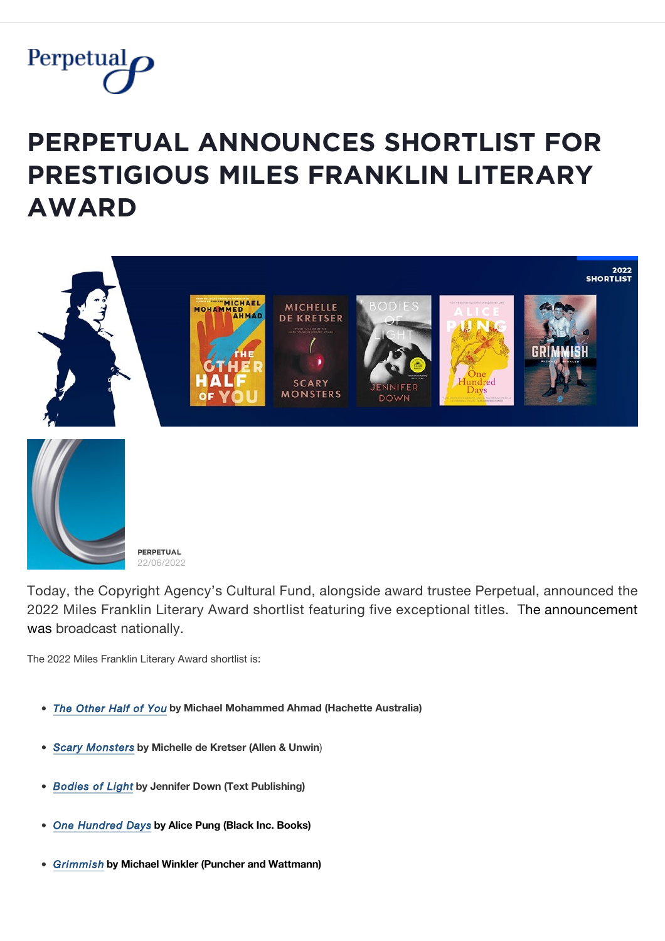

## **PERPETUAL ANNOUNCES SHORTLIST FOR PRESTIGIOUS MILES FRANKLIN LITERARY ǺẄǺŘĐ**



Today, the Copyright Agency's Cultural Fund, alongside award trustee Perpetual, announced the 2022 Miles Franklin Literary Award shortlist featuring five exceptional titles. The announcement was broadcast nationally.

The 2022 Miles Franklin Literary Award shortlist is:

- *[The Other Half of You](https://www.hachette.com.au/michael-mohammed-ahmad/the-other-half-of-you)* **by Michael Mohammed Ahmad (Hachette Australia)**
- *[Scary Monsters](https://www.allenandunwin.com/browse/books/fiction/Scary-Monsters-Michelle-de-Kretser-9781761065101)* **by Michelle de Kretser (Allen & Unwin**)
- *[Bodies of Light](https://www.textpublishing.com.au/books/bodies-of-light)* **by Jennifer Down (Text Publishing)**
- *[One Hundred Days](https://www.blackincbooks.com.au/books/one-hundred-days)* **by Alice Pung (Black Inc. Books)**
- *[Grimmish](https://puncherandwattmann.com/product/grimmish/)* **by Michael Winkler (Puncher and Wattmann)**